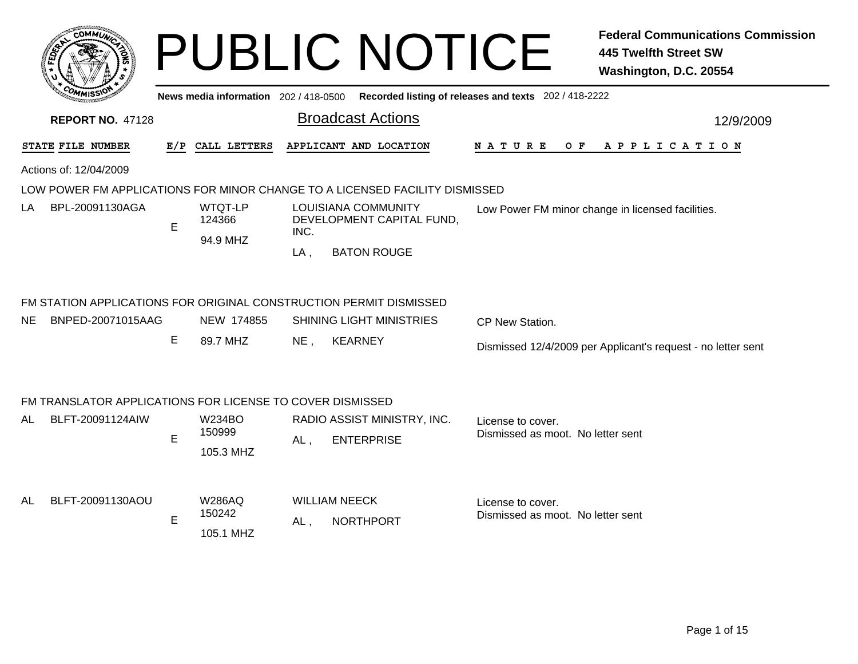|                                                                    |   |                                                   |                | <b>PUBLIC NOTICE</b>                                                                    |                                                        | <b>Federal Communications Commission</b><br><b>445 Twelfth Street SW</b><br>Washington, D.C. 20554 |
|--------------------------------------------------------------------|---|---------------------------------------------------|----------------|-----------------------------------------------------------------------------------------|--------------------------------------------------------|----------------------------------------------------------------------------------------------------|
|                                                                    |   |                                                   |                | News media information 202/418-0500 Recorded listing of releases and texts 202/418-2222 |                                                        |                                                                                                    |
| <b>REPORT NO. 47128</b>                                            |   |                                                   |                | <b>Broadcast Actions</b>                                                                |                                                        | 12/9/2009                                                                                          |
| <b>STATE FILE NUMBER</b>                                           |   | E/P CALL LETTERS                                  |                | APPLICANT AND LOCATION                                                                  | N A T U R E                                            | OF APPLICATION                                                                                     |
| Actions of: 12/04/2009                                             |   |                                                   |                |                                                                                         |                                                        |                                                                                                    |
|                                                                    |   |                                                   |                | LOW POWER FM APPLICATIONS FOR MINOR CHANGE TO A LICENSED FACILITY DISMISSED             |                                                        |                                                                                                    |
| BPL-20091130AGA<br>LA                                              | E | WTQT-LP<br>124366<br>94.9 MHZ                     | INC.<br>$LA$ , | <b>LOUISIANA COMMUNITY</b><br>DEVELOPMENT CAPITAL FUND,<br><b>BATON ROUGE</b>           |                                                        | Low Power FM minor change in licensed facilities.                                                  |
| FM STATION APPLICATIONS FOR ORIGINAL CONSTRUCTION PERMIT DISMISSED |   |                                                   |                |                                                                                         |                                                        |                                                                                                    |
| NE.<br>BNPED-20071015AAG                                           |   | NEW 174855                                        |                | <b>SHINING LIGHT MINISTRIES</b>                                                         | CP New Station.                                        |                                                                                                    |
|                                                                    | E | 89.7 MHZ                                          | $NE$ ,         | <b>KEARNEY</b>                                                                          |                                                        | Dismissed 12/4/2009 per Applicant's request - no letter sent                                       |
| FM TRANSLATOR APPLICATIONS FOR LICENSE TO COVER DISMISSED          |   |                                                   |                |                                                                                         |                                                        |                                                                                                    |
| BLFT-20091124AIW<br>AL.                                            |   | W234BO                                            |                | RADIO ASSIST MINISTRY, INC.                                                             | License to cover.                                      |                                                                                                    |
|                                                                    | E | 150999                                            | AL,            | <b>ENTERPRISE</b>                                                                       | Dismissed as moot. No letter sent                      |                                                                                                    |
| BLFT-20091130AOU<br>AL                                             | E | 105.3 MHZ<br><b>W286AQ</b><br>150242<br>105.1 MHZ | AL.            | <b>WILLIAM NEECK</b><br><b>NORTHPORT</b>                                                | License to cover.<br>Dismissed as moot. No letter sent |                                                                                                    |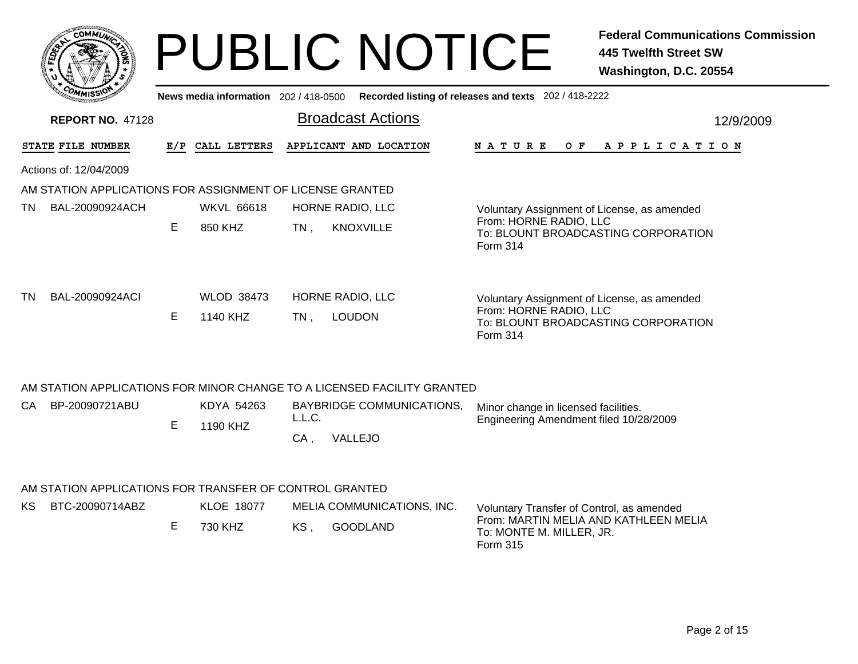|     |                                                         |    |                                       | <b>PUBLIC NOTICE</b>                                                    | <b>Federal Communications Commission</b><br><b>445 Twelfth Street SW</b><br>Washington, D.C. 20554                       |
|-----|---------------------------------------------------------|----|---------------------------------------|-------------------------------------------------------------------------|--------------------------------------------------------------------------------------------------------------------------|
|     |                                                         |    | News media information 202 / 418-0500 |                                                                         | Recorded listing of releases and texts 202 / 418-2222                                                                    |
|     | <b>REPORT NO. 47128</b>                                 |    |                                       | <b>Broadcast Actions</b>                                                | 12/9/2009                                                                                                                |
|     | STATE FILE NUMBER                                       |    | E/P CALL LETTERS                      | APPLICANT AND LOCATION                                                  | NATURE OF APPLICATION                                                                                                    |
|     | Actions of: 12/04/2009                                  |    |                                       |                                                                         |                                                                                                                          |
|     |                                                         |    |                                       | AM STATION APPLICATIONS FOR ASSIGNMENT OF LICENSE GRANTED               |                                                                                                                          |
| TN. | BAL-20090924ACH                                         |    | <b>WKVL 66618</b>                     | HORNE RADIO, LLC                                                        | Voluntary Assignment of License, as amended                                                                              |
|     |                                                         | Е  | 850 KHZ                               | <b>KNOXVILLE</b><br>$TN$ ,                                              | From: HORNE RADIO, LLC<br>To: BLOUNT BROADCASTING CORPORATION<br>Form 314                                                |
| TN  | BAL-20090924ACI                                         | E. | <b>WLOD 38473</b><br>1140 KHZ         | HORNE RADIO, LLC<br><b>LOUDON</b><br>$TN$ ,                             | Voluntary Assignment of License, as amended<br>From: HORNE RADIO, LLC<br>To: BLOUNT BROADCASTING CORPORATION<br>Form 314 |
|     |                                                         |    |                                       | AM STATION APPLICATIONS FOR MINOR CHANGE TO A LICENSED FACILITY GRANTED |                                                                                                                          |
| CA. | BP-20090721ABU                                          |    | KDYA 54263                            | <b>BAYBRIDGE COMMUNICATIONS,</b>                                        | Minor change in licensed facilities.                                                                                     |
|     |                                                         | E  | 1190 KHZ                              | L.L.C.<br>VALLEJO<br>CA,                                                | Engineering Amendment filed 10/28/2009                                                                                   |
|     | AM STATION APPLICATIONS FOR TRANSFER OF CONTROL GRANTED |    |                                       |                                                                         |                                                                                                                          |
| KS. | BTC-20090714ABZ                                         |    | <b>KLOE 18077</b>                     | MELIA COMMUNICATIONS, INC.                                              | Voluntary Transfer of Control, as amended                                                                                |

E 730 KHZ KS , GOODLAND From: MARTIN MELIA AND KATHLEEN MELIA To: MONTE M. MILLER, JR. Form 315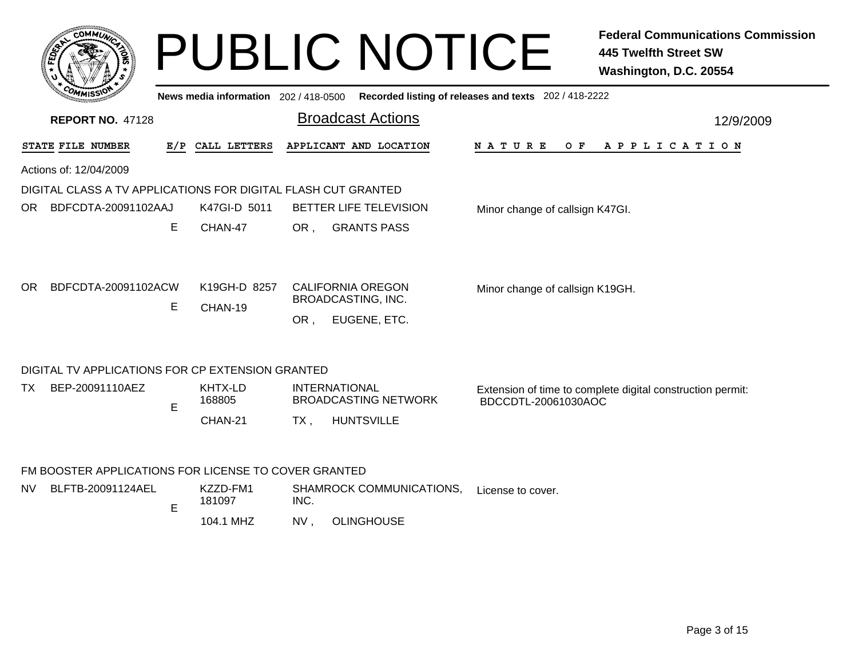| <b>COMMUT</b>                                                                           |        | News media information 202/418-0500 |            | <b>PUBLIC NOTICE</b>                                                                        | Recorded listing of releases and texts 202 / 418-2222 | <b>Federal Communications Commission</b><br><b>445 Twelfth Street SW</b><br>Washington, D.C. 20554 |
|-----------------------------------------------------------------------------------------|--------|-------------------------------------|------------|---------------------------------------------------------------------------------------------|-------------------------------------------------------|----------------------------------------------------------------------------------------------------|
| <b>REPORT NO. 47128</b>                                                                 |        |                                     |            | <b>Broadcast Actions</b>                                                                    |                                                       | 12/9/2009                                                                                          |
| STATE FILE NUMBER                                                                       |        | E/P CALL LETTERS                    |            | APPLICANT AND LOCATION                                                                      | N A T U R E<br>O F                                    | A P P L I C A T I O N                                                                              |
| Actions of: 12/04/2009<br>DIGITAL CLASS A TV APPLICATIONS FOR DIGITAL FLASH CUT GRANTED |        |                                     |            |                                                                                             |                                                       |                                                                                                    |
| BDFCDTA-20091102AAJ<br>OR.                                                              |        | K47GI-D 5011                        |            | BETTER LIFE TELEVISION                                                                      | Minor change of callsign K47GI.                       |                                                                                                    |
| BDFCDTA-20091102ACW<br>OR.                                                              | Е<br>Е | CHAN-47<br>K19GH-D 8257<br>CHAN-19  | OR,<br>OR. | <b>GRANTS PASS</b><br><b>CALIFORNIA OREGON</b><br><b>BROADCASTING, INC.</b><br>EUGENE, ETC. | Minor change of callsign K19GH.                       |                                                                                                    |
| DIGITAL TV APPLICATIONS FOR CP EXTENSION GRANTED                                        |        |                                     |            |                                                                                             |                                                       |                                                                                                    |
| BEP-20091110AEZ<br>TX.                                                                  | E      | KHTX-LD<br>168805<br>CHAN-21        | TX.        | <b>INTERNATIONAL</b><br><b>BROADCASTING NETWORK</b><br><b>HUNTSVILLE</b>                    | BDCCDTL-20061030AOC                                   | Extension of time to complete digital construction permit:                                         |
| FM BOOSTER APPLICATIONS FOR LICENSE TO COVER GRANTED                                    |        |                                     |            |                                                                                             |                                                       |                                                                                                    |
| BLFTB-20091124AEL<br>NV.                                                                | E      | KZZD-FM1<br>181097                  | INC.       | SHAMROCK COMMUNICATIONS,                                                                    | License to cover.                                     |                                                                                                    |
|                                                                                         |        | 104.1 MHZ                           | NV,        | <b>OLINGHOUSE</b>                                                                           |                                                       |                                                                                                    |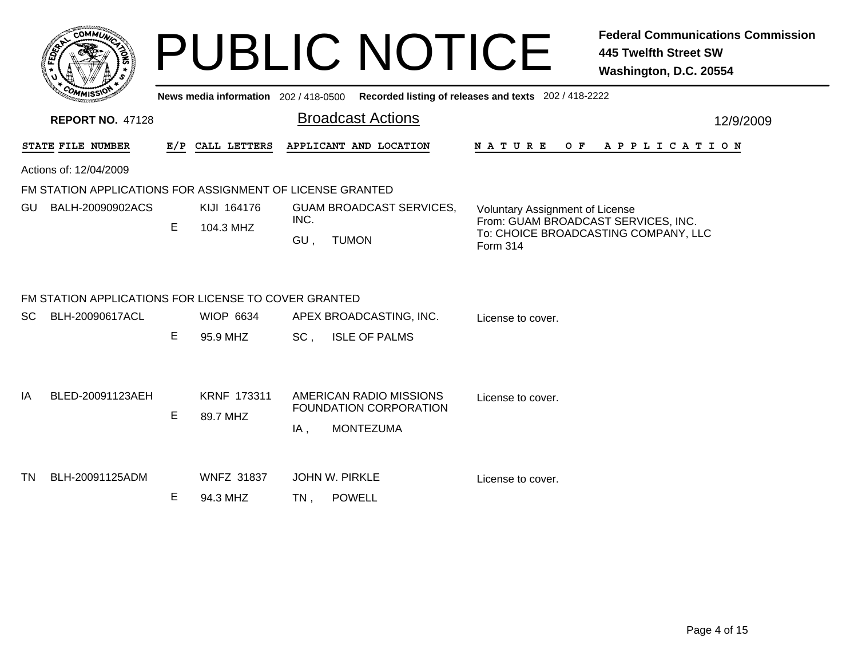|                  | c <sub>0</sub><br><b>MMUNA</b><br>¢. |  |
|------------------|--------------------------------------|--|
| <b>FEDET</b>     |                                      |  |
|                  |                                      |  |
| CO <sub>MI</sub> | MISS'<br>---                         |  |

## PUBLIC NOTICE **Federal Communications Commission 445 Twelfth Street SW Washington, D.C. 20554**

|    | <b><i>CHAMISSIO</i></b>                                                        |   |                                |      | News media information 202/418-0500 Recorded listing of releases and texts 202/418-2222 |                                                  |  |  |     |  |  |                       |  |           |
|----|--------------------------------------------------------------------------------|---|--------------------------------|------|-----------------------------------------------------------------------------------------|--------------------------------------------------|--|--|-----|--|--|-----------------------|--|-----------|
|    | <b>REPORT NO. 47128</b>                                                        |   |                                |      | <b>Broadcast Actions</b>                                                                |                                                  |  |  |     |  |  |                       |  | 12/9/2009 |
|    | STATE FILE NUMBER                                                              |   | E/P CALL LETTERS               |      | APPLICANT AND LOCATION                                                                  | N A T U R E                                      |  |  | O F |  |  | A P P L I C A T I O N |  |           |
|    | Actions of: 12/04/2009                                                         |   |                                |      |                                                                                         |                                                  |  |  |     |  |  |                       |  |           |
|    | FM STATION APPLICATIONS FOR ASSIGNMENT OF LICENSE GRANTED                      |   |                                |      |                                                                                         |                                                  |  |  |     |  |  |                       |  |           |
| GU | BALH-20090902ACS                                                               |   | KIJI 164176                    |      | <b>GUAM BROADCAST SERVICES,</b>                                                         | <b>Voluntary Assignment of License</b>           |  |  |     |  |  |                       |  |           |
|    |                                                                                | E | 104.3 MHZ                      | INC. |                                                                                         | From: GUAM BROADCAST SERVICES, INC.              |  |  |     |  |  |                       |  |           |
|    |                                                                                |   |                                | GU,  | <b>TUMON</b>                                                                            | To: CHOICE BROADCASTING COMPANY, LLC<br>Form 314 |  |  |     |  |  |                       |  |           |
| SC | FM STATION APPLICATIONS FOR LICENSE TO COVER GRANTED<br><b>BLH-20090617ACL</b> | E | <b>WIOP 6634</b><br>95.9 MHZ   | SC,  | APEX BROADCASTING, INC.<br><b>ISLE OF PALMS</b>                                         | License to cover.                                |  |  |     |  |  |                       |  |           |
| ΙA | BLED-20091123AEH                                                               | E | <b>KRNF 173311</b><br>89.7 MHZ | IA,  | AMERICAN RADIO MISSIONS<br>FOUNDATION CORPORATION<br><b>MONTEZUMA</b>                   | License to cover.                                |  |  |     |  |  |                       |  |           |
| ΤN | BLH-20091125ADM                                                                | Е | <b>WNFZ 31837</b><br>94.3 MHZ  | TN.  | <b>JOHN W. PIRKLE</b><br><b>POWELL</b>                                                  | License to cover.                                |  |  |     |  |  |                       |  |           |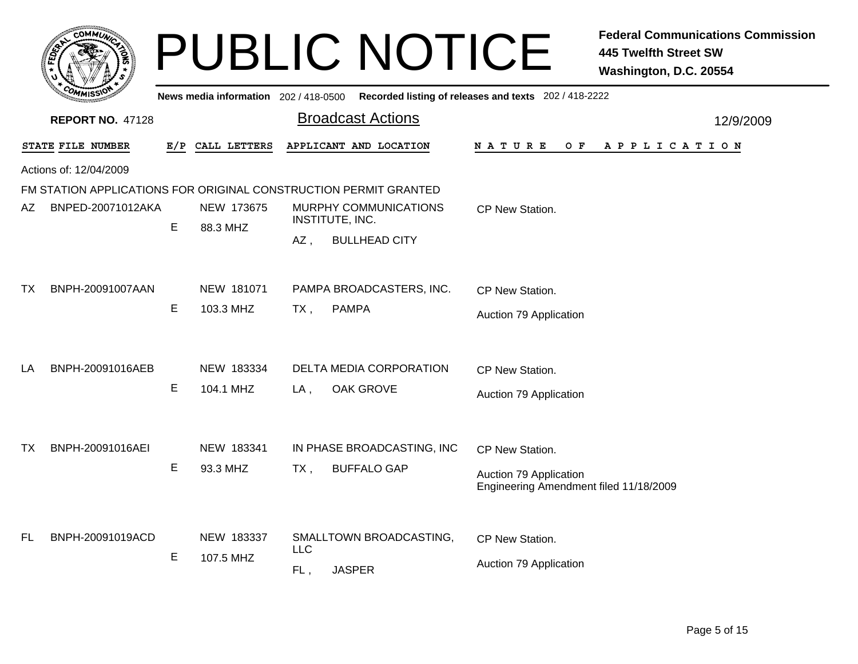|           | <b>COMMUT</b>           |     |                                       |                   | <b>PUBLIC NOTICE</b>                                             |                                                                                     | <b>Federal Communications Commission</b><br><b>445 Twelfth Street SW</b><br>Washington, D.C. 20554 |  |  |
|-----------|-------------------------|-----|---------------------------------------|-------------------|------------------------------------------------------------------|-------------------------------------------------------------------------------------|----------------------------------------------------------------------------------------------------|--|--|
|           |                         |     | News media information 202 / 418-0500 |                   |                                                                  | Recorded listing of releases and texts 202 / 418-2222                               |                                                                                                    |  |  |
|           | <b>REPORT NO. 47128</b> |     |                                       |                   | <b>Broadcast Actions</b>                                         |                                                                                     | 12/9/2009                                                                                          |  |  |
|           | STATE FILE NUMBER       | E/P | CALL LETTERS                          |                   | APPLICANT AND LOCATION                                           | N A T U R E<br>O F                                                                  | APPLICATION                                                                                        |  |  |
|           | Actions of: 12/04/2009  |     |                                       |                   |                                                                  |                                                                                     |                                                                                                    |  |  |
|           |                         |     |                                       |                   | FM STATION APPLICATIONS FOR ORIGINAL CONSTRUCTION PERMIT GRANTED |                                                                                     |                                                                                                    |  |  |
| AZ        | BNPED-20071012AKA       | Е   | NEW 173675                            |                   | MURPHY COMMUNICATIONS<br>INSTITUTE, INC.                         | CP New Station.                                                                     |                                                                                                    |  |  |
|           |                         |     | 88.3 MHZ                              | AZ,               | <b>BULLHEAD CITY</b>                                             |                                                                                     |                                                                                                    |  |  |
| TX        | BNPH-20091007AAN        | Е   | NEW 181071<br>103.3 MHZ               | TX,               | PAMPA BROADCASTERS, INC.<br><b>PAMPA</b>                         | CP New Station.<br>Auction 79 Application                                           |                                                                                                    |  |  |
| LA        | BNPH-20091016AEB        | Е   | NEW 183334<br>104.1 MHZ               | LA,               | DELTA MEDIA CORPORATION<br><b>OAK GROVE</b>                      | CP New Station.<br>Auction 79 Application                                           |                                                                                                    |  |  |
| ТX        | BNPH-20091016AEI        | Е   | NEW 183341<br>93.3 MHZ                | TX,               | IN PHASE BROADCASTING, INC<br><b>BUFFALO GAP</b>                 | CP New Station.<br>Auction 79 Application<br>Engineering Amendment filed 11/18/2009 |                                                                                                    |  |  |
| <b>FL</b> | BNPH-20091019ACD        | Е   | NEW 183337<br>107.5 MHZ               | <b>LLC</b><br>FL, | SMALLTOWN BROADCASTING,<br><b>JASPER</b>                         | CP New Station.<br>Auction 79 Application                                           |                                                                                                    |  |  |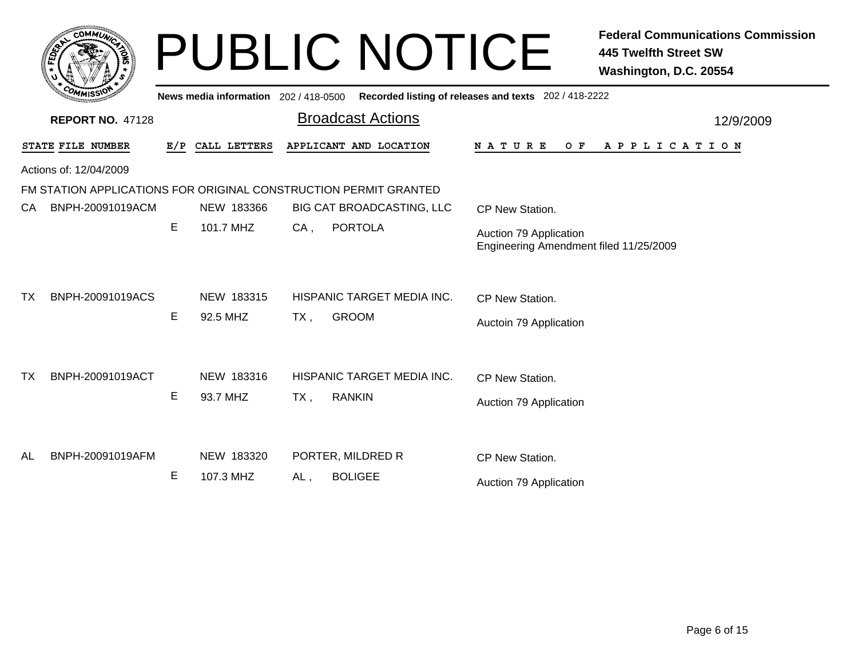|           | <b>COMMUT</b>           |     |                                     |        | <b>PUBLIC NOTICE</b>                                             |                                                                  | <b>Federal Communications Commission</b><br><b>445 Twelfth Street SW</b><br>Washington, D.C. 20554 |
|-----------|-------------------------|-----|-------------------------------------|--------|------------------------------------------------------------------|------------------------------------------------------------------|----------------------------------------------------------------------------------------------------|
|           |                         |     | News media information 202/418-0500 |        |                                                                  | Recorded listing of releases and texts 202 / 418-2222            |                                                                                                    |
|           | <b>REPORT NO. 47128</b> |     |                                     |        | <b>Broadcast Actions</b>                                         |                                                                  | 12/9/2009                                                                                          |
|           | STATE FILE NUMBER       | E/P | CALL LETTERS                        |        | APPLICANT AND LOCATION                                           | <b>NATURE</b><br>O F                                             | A P P L I C A T I O N                                                                              |
|           | Actions of: 12/04/2009  |     |                                     |        |                                                                  |                                                                  |                                                                                                    |
|           |                         |     |                                     |        | FM STATION APPLICATIONS FOR ORIGINAL CONSTRUCTION PERMIT GRANTED |                                                                  |                                                                                                    |
| CA        | BNPH-20091019ACM        |     | NEW 183366                          |        | BIG CAT BROADCASTING, LLC                                        | CP New Station.                                                  |                                                                                                    |
|           |                         | Е   | 101.7 MHZ                           | $CA$ , | <b>PORTOLA</b>                                                   | Auction 79 Application<br>Engineering Amendment filed 11/25/2009 |                                                                                                    |
| <b>TX</b> | BNPH-20091019ACS        |     | NEW 183315                          |        | HISPANIC TARGET MEDIA INC.                                       | CP New Station.                                                  |                                                                                                    |
|           |                         | Е   | 92.5 MHZ                            | $TX$ , | <b>GROOM</b>                                                     | Auctoin 79 Application                                           |                                                                                                    |
| <b>TX</b> | BNPH-20091019ACT        |     | NEW 183316                          |        | HISPANIC TARGET MEDIA INC.                                       | CP New Station.                                                  |                                                                                                    |
|           |                         | Ε   | 93.7 MHZ                            | $TX$ , | <b>RANKIN</b>                                                    | Auction 79 Application                                           |                                                                                                    |
| AL        | BNPH-20091019AFM        |     | NEW 183320                          |        | PORTER, MILDRED R                                                | CP New Station.                                                  |                                                                                                    |
|           |                         | Е   | 107.3 MHZ                           | AL,    | <b>BOLIGEE</b>                                                   | Auction 79 Application                                           |                                                                                                    |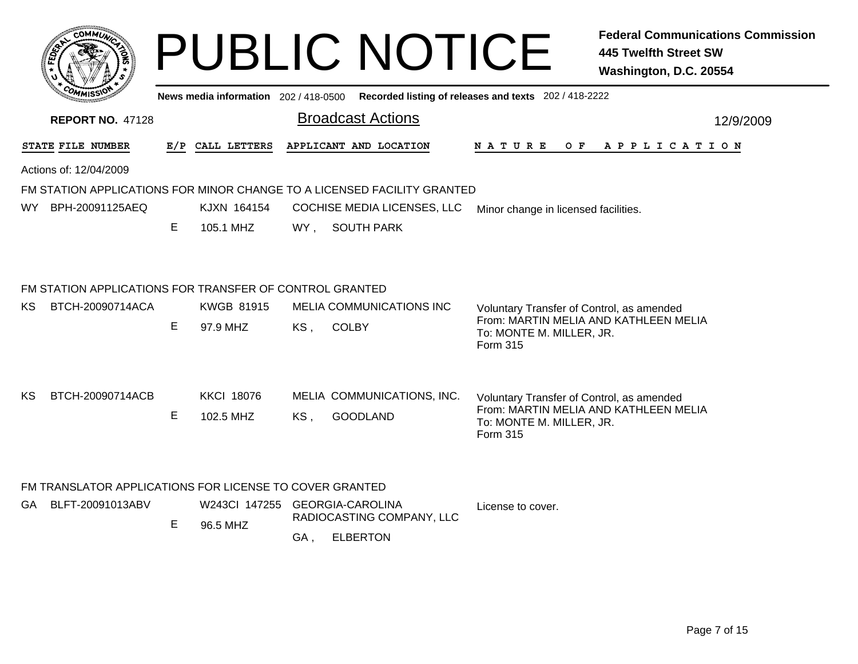|      |                                                                         |    |                                |                          | <b>PUBLIC NOTICE</b>        |                                                                                             | <b>Federal Communications Commission</b><br><b>445 Twelfth Street SW</b><br>Washington, D.C. 20554 |
|------|-------------------------------------------------------------------------|----|--------------------------------|--------------------------|-----------------------------|---------------------------------------------------------------------------------------------|----------------------------------------------------------------------------------------------------|
|      |                                                                         |    |                                |                          |                             | News media information 202 / 418-0500 Recorded listing of releases and texts 202 / 418-2222 |                                                                                                    |
|      | <b>REPORT NO. 47128</b>                                                 |    |                                | <b>Broadcast Actions</b> |                             |                                                                                             | 12/9/2009                                                                                          |
|      | STATE FILE NUMBER                                                       |    | E/P CALL LETTERS               | APPLICANT AND LOCATION   |                             | N A T U R E<br>O F                                                                          | A P P L I C A T I O N                                                                              |
|      | Actions of: 12/04/2009                                                  |    |                                |                          |                             |                                                                                             |                                                                                                    |
|      | FM STATION APPLICATIONS FOR MINOR CHANGE TO A LICENSED FACILITY GRANTED |    |                                |                          |                             |                                                                                             |                                                                                                    |
| WY l | BPH-20091125AEQ                                                         |    | KJXN 164154                    |                          | COCHISE MEDIA LICENSES, LLC | Minor change in licensed facilities.                                                        |                                                                                                    |
|      |                                                                         | Е  | 105.1 MHZ                      | WY, SOUTH PARK           |                             |                                                                                             |                                                                                                    |
|      | FM STATION APPLICATIONS FOR TRANSFER OF CONTROL GRANTED                 |    |                                |                          |                             |                                                                                             |                                                                                                    |
| KS.  | BTCH-20090714ACA                                                        |    | <b>KWGB 81915</b>              |                          | MELIA COMMUNICATIONS INC    | Voluntary Transfer of Control, as amended                                                   |                                                                                                    |
|      |                                                                         | E  | 97.9 MHZ                       | KS,<br><b>COLBY</b>      |                             | From: MARTIN MELIA AND KATHLEEN MELIA<br>To: MONTE M. MILLER, JR.<br>Form 315               |                                                                                                    |
| KS   | BTCH-20090714ACB                                                        |    | <b>KKCI 18076</b>              |                          | MELIA COMMUNICATIONS, INC.  | Voluntary Transfer of Control, as amended                                                   |                                                                                                    |
|      |                                                                         | E  | 102.5 MHZ                      | KS,<br><b>GOODLAND</b>   |                             | From: MARTIN MELIA AND KATHLEEN MELIA<br>To: MONTE M. MILLER, JR.<br>Form 315               |                                                                                                    |
|      | FM TRANSLATOR APPLICATIONS FOR LICENSE TO COVER GRANTED                 |    |                                |                          |                             |                                                                                             |                                                                                                    |
| GA   | BLFT-20091013ABV                                                        |    | W243Cl 147255 GEORGIA-CAROLINA |                          | RADIOCASTING COMPANY, LLC   | License to cover.                                                                           |                                                                                                    |
|      |                                                                         | E. | 96.5 MHZ                       | <b>ELBERTON</b><br>GA,   |                             |                                                                                             |                                                                                                    |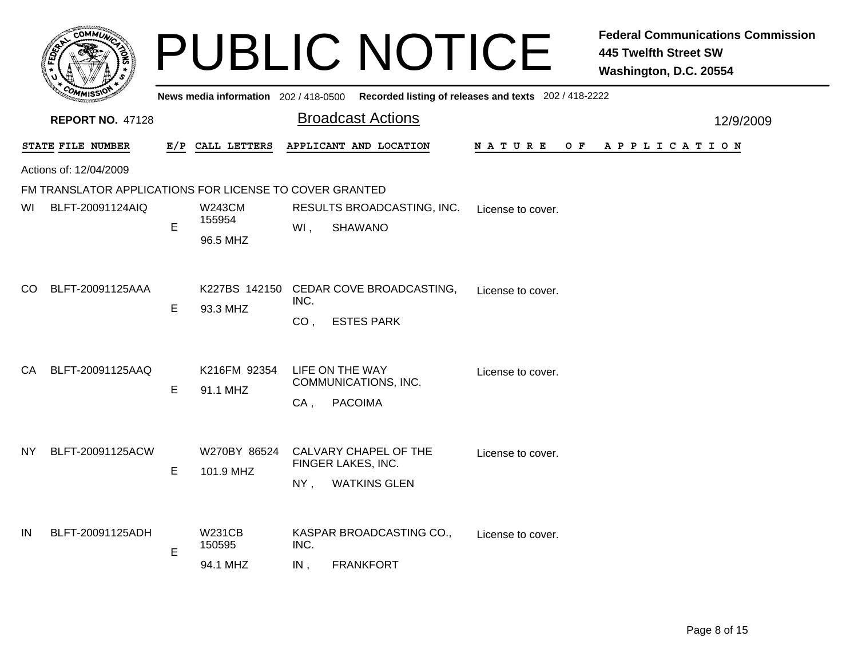|                         |                                                         |   |                                     |                         | <b>PUBLIC NOTICE</b>                                               |                                                       | <b>Federal Communications Commission</b><br><b>445 Twelfth Street SW</b><br>Washington, D.C. 20554 |  |  |  |
|-------------------------|---------------------------------------------------------|---|-------------------------------------|-------------------------|--------------------------------------------------------------------|-------------------------------------------------------|----------------------------------------------------------------------------------------------------|--|--|--|
|                         |                                                         |   | News media information 202/418-0500 |                         |                                                                    | Recorded listing of releases and texts 202 / 418-2222 |                                                                                                    |  |  |  |
| <b>REPORT NO. 47128</b> |                                                         |   |                                     |                         | <b>Broadcast Actions</b>                                           |                                                       | 12/9/2009                                                                                          |  |  |  |
|                         | STATE FILE NUMBER                                       |   | E/P CALL LETTERS                    |                         | APPLICANT AND LOCATION                                             | N A T U R E                                           | OF APPLICATION                                                                                     |  |  |  |
|                         | Actions of: 12/04/2009                                  |   |                                     |                         |                                                                    |                                                       |                                                                                                    |  |  |  |
|                         | FM TRANSLATOR APPLICATIONS FOR LICENSE TO COVER GRANTED |   |                                     |                         |                                                                    |                                                       |                                                                                                    |  |  |  |
| WI                      | BLFT-20091124AIQ                                        | E | <b>W243CM</b><br>155954             | WI,                     | RESULTS BROADCASTING, INC.<br><b>SHAWANO</b>                       | License to cover.                                     |                                                                                                    |  |  |  |
|                         |                                                         |   | 96.5 MHZ                            |                         |                                                                    |                                                       |                                                                                                    |  |  |  |
| CO.                     | BLFT-20091125AAA                                        | E | 93.3 MHZ                            | INC.<br>CO <sub>1</sub> | K227BS 142150 CEDAR COVE BROADCASTING,<br><b>ESTES PARK</b>        | License to cover.                                     |                                                                                                    |  |  |  |
| CA                      | BLFT-20091125AAQ                                        | E | K216FM 92354<br>91.1 MHZ            | $CA$ ,                  | LIFE ON THE WAY<br>COMMUNICATIONS, INC.<br><b>PACOIMA</b>          | License to cover.                                     |                                                                                                    |  |  |  |
| NY                      | BLFT-20091125ACW                                        | E | W270BY 86524<br>101.9 MHZ           | NY,                     | CALVARY CHAPEL OF THE<br>FINGER LAKES, INC.<br><b>WATKINS GLEN</b> | License to cover.                                     |                                                                                                    |  |  |  |
| IN                      | BLFT-20091125ADH                                        | E | W231CB<br>150595<br>94.1 MHZ        | INC.<br>IN,             | KASPAR BROADCASTING CO.,<br><b>FRANKFORT</b>                       | License to cover.                                     |                                                                                                    |  |  |  |
|                         |                                                         |   |                                     |                         |                                                                    |                                                       |                                                                                                    |  |  |  |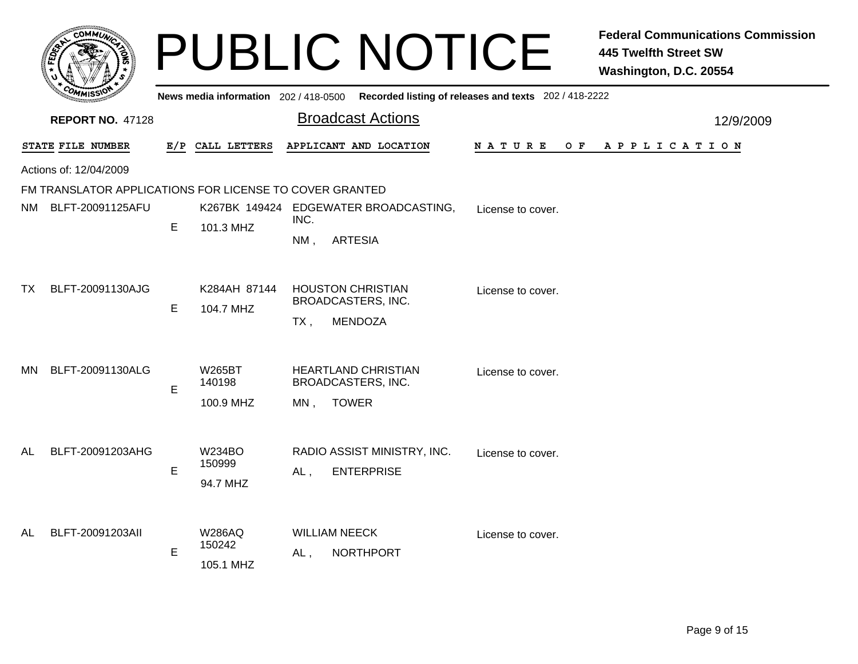|      | <b>COMMUT</b>                                           |     |                                       |             | <b>PUBLIC NOTICE</b>                                                    |                                                       | <b>Federal Communications Commission</b><br><b>445 Twelfth Street SW</b><br>Washington, D.C. 20554 |
|------|---------------------------------------------------------|-----|---------------------------------------|-------------|-------------------------------------------------------------------------|-------------------------------------------------------|----------------------------------------------------------------------------------------------------|
|      |                                                         |     | News media information 202 / 418-0500 |             |                                                                         | Recorded listing of releases and texts 202 / 418-2222 |                                                                                                    |
|      | <b>REPORT NO. 47128</b>                                 |     |                                       |             | <b>Broadcast Actions</b>                                                |                                                       | 12/9/2009                                                                                          |
|      | STATE FILE NUMBER                                       | E/P | CALL LETTERS                          |             | APPLICANT AND LOCATION                                                  | N A T U R E<br>O F                                    | A P P L I C A T I O N                                                                              |
|      | Actions of: 12/04/2009                                  |     |                                       |             |                                                                         |                                                       |                                                                                                    |
|      | FM TRANSLATOR APPLICATIONS FOR LICENSE TO COVER GRANTED |     |                                       |             |                                                                         |                                                       |                                                                                                    |
| NM - | BLFT-20091125AFU                                        | E   | 101.3 MHZ                             | INC.<br>NM, | K267BK 149424 EDGEWATER BROADCASTING,<br><b>ARTESIA</b>                 | License to cover.                                     |                                                                                                    |
| TX.  | BLFT-20091130AJG                                        | E   | K284AH 87144<br>104.7 MHZ             | $TX$ ,      | <b>HOUSTON CHRISTIAN</b><br>BROADCASTERS, INC.<br><b>MENDOZA</b>        | License to cover.                                     |                                                                                                    |
| MN.  | BLFT-20091130ALG                                        | E   | W265BT<br>140198<br>100.9 MHZ         | MN,         | <b>HEARTLAND CHRISTIAN</b><br><b>BROADCASTERS, INC.</b><br><b>TOWER</b> | License to cover.                                     |                                                                                                    |
| AL   | BLFT-20091203AHG                                        | E   | W234BO<br>150999<br>94.7 MHZ          | $AL$ ,      | RADIO ASSIST MINISTRY, INC.<br><b>ENTERPRISE</b>                        | License to cover.                                     |                                                                                                    |
| AL   | BLFT-20091203All                                        | E   | <b>W286AQ</b><br>150242<br>105.1 MHZ  | AL,         | <b>WILLIAM NEECK</b><br><b>NORTHPORT</b>                                | License to cover.                                     |                                                                                                    |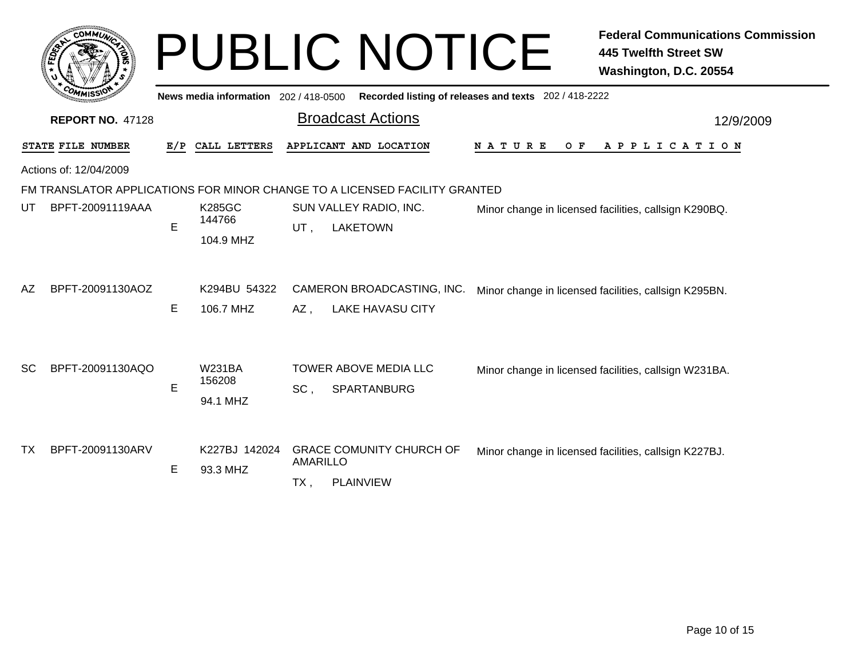|           | <b>COMMUT</b>                                                    |     |                                       |                    | <b>PUBLIC NOTICE</b>                                                                                                    |                                                       | <b>Federal Communications Commission</b><br><b>445 Twelfth Street SW</b><br>Washington, D.C. 20554 |  |  |  |  |
|-----------|------------------------------------------------------------------|-----|---------------------------------------|--------------------|-------------------------------------------------------------------------------------------------------------------------|-------------------------------------------------------|----------------------------------------------------------------------------------------------------|--|--|--|--|
|           |                                                                  |     | News media information 202 / 418-0500 |                    |                                                                                                                         | Recorded listing of releases and texts 202 / 418-2222 |                                                                                                    |  |  |  |  |
|           | <b>Broadcast Actions</b><br><b>REPORT NO. 47128</b><br>12/9/2009 |     |                                       |                    |                                                                                                                         |                                                       |                                                                                                    |  |  |  |  |
|           | STATE FILE NUMBER                                                | E/P | CALL LETTERS                          |                    | APPLICANT AND LOCATION                                                                                                  | N A T U R E<br>O F                                    | A P P L I C A T I O N                                                                              |  |  |  |  |
|           | Actions of: 12/04/2009                                           |     |                                       |                    |                                                                                                                         |                                                       |                                                                                                    |  |  |  |  |
| UT        | BPFT-20091119AAA                                                 | E   | <b>K285GC</b><br>144766<br>104.9 MHZ  | UT.                | FM TRANSLATOR APPLICATIONS FOR MINOR CHANGE TO A LICENSED FACILITY GRANTED<br>SUN VALLEY RADIO, INC.<br><b>LAKETOWN</b> |                                                       | Minor change in licensed facilities, callsign K290BQ.                                              |  |  |  |  |
| AZ        | BPFT-20091130AOZ                                                 | Е   | K294BU 54322<br>106.7 MHZ             | AZ,                | CAMERON BROADCASTING, INC.<br><b>LAKE HAVASU CITY</b>                                                                   |                                                       | Minor change in licensed facilities, callsign K295BN.                                              |  |  |  |  |
| <b>SC</b> | BPFT-20091130AQO                                                 | Е   | <b>W231BA</b><br>156208<br>94.1 MHZ   | SC,                | TOWER ABOVE MEDIA LLC<br>SPARTANBURG                                                                                    |                                                       | Minor change in licensed facilities, callsign W231BA.                                              |  |  |  |  |
| <b>TX</b> | BPFT-20091130ARV                                                 | Е   | K227BJ 142024<br>93.3 MHZ             | AMARILLO<br>$TX$ , | <b>GRACE COMUNITY CHURCH OF</b><br><b>PLAINVIEW</b>                                                                     |                                                       | Minor change in licensed facilities, callsign K227BJ.                                              |  |  |  |  |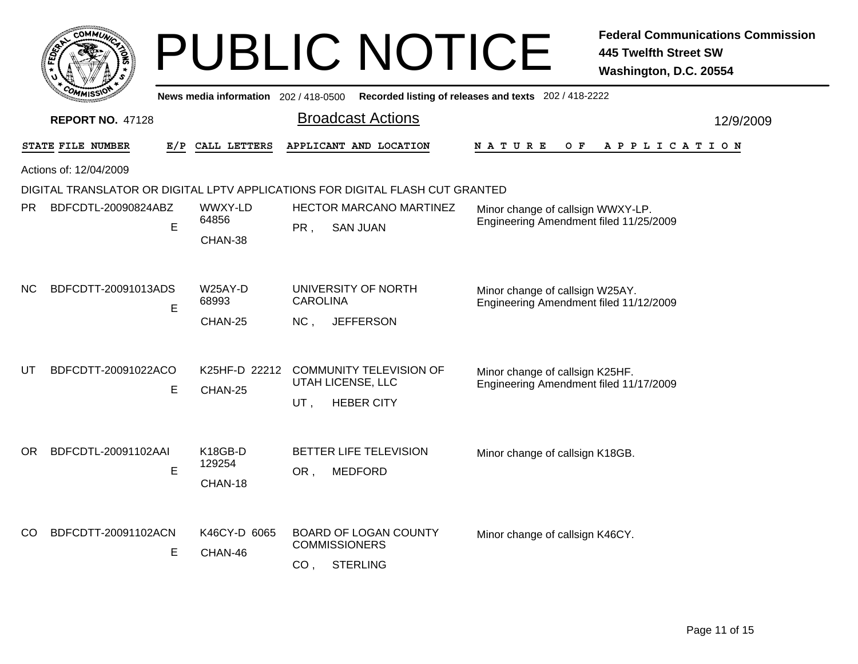|     | $c$ OMM $\vec{u}$       |     |                                           | <b>PUBLIC NOTICE</b>                                                                       |                                                                             | <b>Federal Communications Commission</b><br><b>445 Twelfth Street SW</b><br>Washington, D.C. 20554 |
|-----|-------------------------|-----|-------------------------------------------|--------------------------------------------------------------------------------------------|-----------------------------------------------------------------------------|----------------------------------------------------------------------------------------------------|
|     |                         |     | News media information 202 / 418-0500     |                                                                                            | Recorded listing of releases and texts 202 / 418-2222                       |                                                                                                    |
|     | <b>REPORT NO. 47128</b> |     |                                           | <b>Broadcast Actions</b>                                                                   |                                                                             | 12/9/2009                                                                                          |
|     | STATE FILE NUMBER       | E/P | CALL LETTERS                              | APPLICANT AND LOCATION                                                                     | N A T U R E<br>O F                                                          | A P P L I C A T I O N                                                                              |
|     | Actions of: 12/04/2009  |     |                                           |                                                                                            |                                                                             |                                                                                                    |
|     |                         |     |                                           | DIGITAL TRANSLATOR OR DIGITAL LPTV APPLICATIONS FOR DIGITAL FLASH CUT GRANTED              |                                                                             |                                                                                                    |
| PR. | BDFCDTL-20090824ABZ     | E   | WWXY-LD<br>64856<br>CHAN-38               | <b>HECTOR MARCANO MARTINEZ</b><br>PR,<br><b>SAN JUAN</b>                                   | Minor change of callsign WWXY-LP.<br>Engineering Amendment filed 11/25/2009 |                                                                                                    |
| NC. | BDFCDTT-20091013ADS     | E   | W25AY-D<br>68993<br>CHAN-25               | UNIVERSITY OF NORTH<br><b>CAROLINA</b><br><b>JEFFERSON</b><br>NC,                          | Minor change of callsign W25AY.<br>Engineering Amendment filed 11/12/2009   |                                                                                                    |
| UT  | BDFCDTT-20091022ACO     | Е   | K25HF-D 22212<br>CHAN-25                  | <b>COMMUNITY TELEVISION OF</b><br>UTAH LICENSE, LLC<br>UT,<br><b>HEBER CITY</b>            | Minor change of callsign K25HF.<br>Engineering Amendment filed 11/17/2009   |                                                                                                    |
| OR. | BDFCDTL-20091102AAI     | E   | K <sub>18</sub> GB-D<br>129254<br>CHAN-18 | <b>BETTER LIFE TELEVISION</b><br><b>MEDFORD</b><br>OR,                                     | Minor change of callsign K18GB.                                             |                                                                                                    |
| CO. | BDFCDTT-20091102ACN     | Е   | K46CY-D 6065<br>CHAN-46                   | <b>BOARD OF LOGAN COUNTY</b><br><b>COMMISSIONERS</b><br><b>STERLING</b><br>CO <sub>1</sub> | Minor change of callsign K46CY.                                             |                                                                                                    |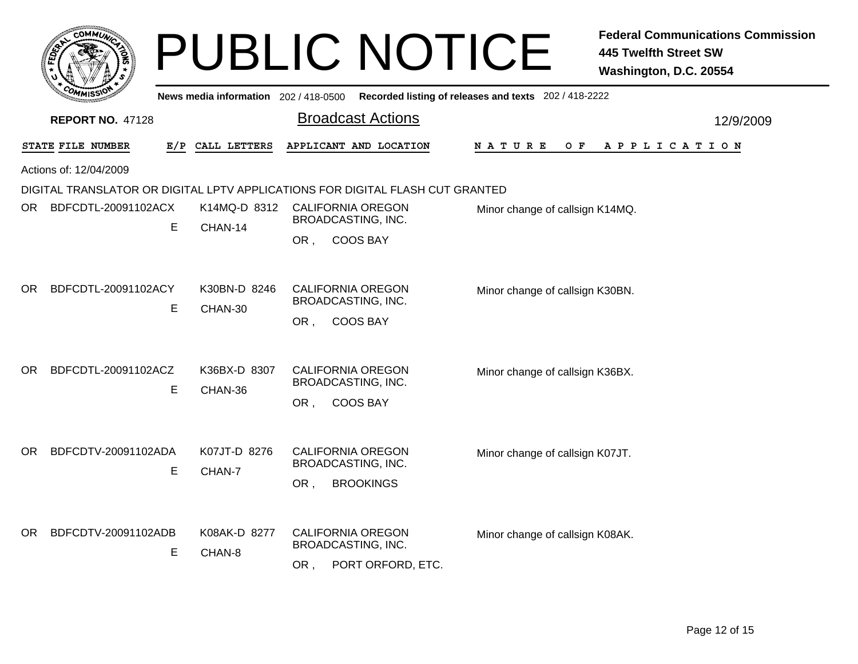|     |                         |   |                                       | <b>PUBLIC NOTICE</b>                                                               |                                                       | <b>Federal Communications Commission</b><br><b>445 Twelfth Street SW</b><br>Washington, D.C. 20554 |
|-----|-------------------------|---|---------------------------------------|------------------------------------------------------------------------------------|-------------------------------------------------------|----------------------------------------------------------------------------------------------------|
|     |                         |   | News media information 202 / 418-0500 |                                                                                    | Recorded listing of releases and texts 202 / 418-2222 |                                                                                                    |
|     | <b>REPORT NO. 47128</b> |   |                                       | <b>Broadcast Actions</b>                                                           |                                                       | 12/9/2009                                                                                          |
|     | STATE FILE NUMBER       |   | E/P CALL LETTERS                      | APPLICANT AND LOCATION                                                             | N A T U R E<br>O F                                    | A P P L I C A T I O N                                                                              |
|     | Actions of: 12/04/2009  |   |                                       |                                                                                    |                                                       |                                                                                                    |
|     |                         |   |                                       | DIGITAL TRANSLATOR OR DIGITAL LPTV APPLICATIONS FOR DIGITAL FLASH CUT GRANTED      |                                                       |                                                                                                    |
| OR  | BDFCDTL-20091102ACX     | E | K14MQ-D 8312<br>CHAN-14               | <b>CALIFORNIA OREGON</b><br>BROADCASTING, INC.<br><b>COOS BAY</b><br>OR,           | Minor change of callsign K14MQ.                       |                                                                                                    |
| OR. | BDFCDTL-20091102ACY     | E | K30BN-D 8246<br>CHAN-30               | <b>CALIFORNIA OREGON</b><br>BROADCASTING, INC.<br><b>COOS BAY</b><br>OR,           | Minor change of callsign K30BN.                       |                                                                                                    |
| OR. | BDFCDTL-20091102ACZ     | E | K36BX-D 8307<br>CHAN-36               | <b>CALIFORNIA OREGON</b><br><b>BROADCASTING, INC.</b><br><b>COOS BAY</b><br>OR,    | Minor change of callsign K36BX.                       |                                                                                                    |
| OR. | BDFCDTV-20091102ADA     | E | K07JT-D 8276<br>CHAN-7                | CALIFORNIA OREGON<br>BROADCASTING, INC.<br>OR,<br><b>BROOKINGS</b>                 | Minor change of callsign K07JT.                       |                                                                                                    |
| OR. | BDFCDTV-20091102ADB     | E | K08AK-D 8277<br>CHAN-8                | <b>CALIFORNIA OREGON</b><br><b>BROADCASTING, INC.</b><br>PORT ORFORD, ETC.<br>OR , | Minor change of callsign K08AK.                       |                                                                                                    |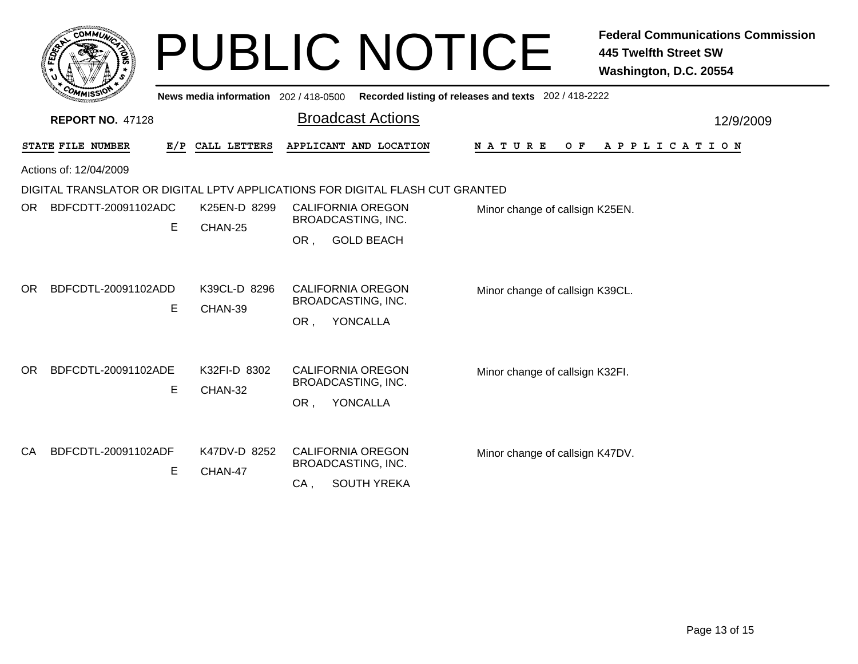|           | сомм <i>и</i>           |     |                                       | <b>PUBLIC NOTICE</b>                                                          |                                                       | <b>Federal Communications Commission</b><br><b>445 Twelfth Street SW</b><br>Washington, D.C. 20554 |
|-----------|-------------------------|-----|---------------------------------------|-------------------------------------------------------------------------------|-------------------------------------------------------|----------------------------------------------------------------------------------------------------|
|           |                         |     | News media information 202 / 418-0500 |                                                                               | Recorded listing of releases and texts 202 / 418-2222 |                                                                                                    |
|           | <b>REPORT NO. 47128</b> |     |                                       | <b>Broadcast Actions</b>                                                      |                                                       | 12/9/2009                                                                                          |
|           | STATE FILE NUMBER       | E/P | CALL LETTERS                          | APPLICANT AND LOCATION                                                        | <b>NATURE</b><br>O F                                  | APPLICATION                                                                                        |
|           | Actions of: 12/04/2009  |     |                                       |                                                                               |                                                       |                                                                                                    |
|           |                         |     |                                       | DIGITAL TRANSLATOR OR DIGITAL LPTV APPLICATIONS FOR DIGITAL FLASH CUT GRANTED |                                                       |                                                                                                    |
| OR.       | BDFCDTT-20091102ADC     | E   | K25EN-D 8299                          | <b>CALIFORNIA OREGON</b><br><b>BROADCASTING, INC.</b>                         | Minor change of callsign K25EN.                       |                                                                                                    |
|           |                         |     | CHAN-25                               | <b>GOLD BEACH</b><br>OR.                                                      |                                                       |                                                                                                    |
| OR.       | BDFCDTL-20091102ADD     |     | K39CL-D 8296                          | <b>CALIFORNIA OREGON</b>                                                      | Minor change of callsign K39CL.                       |                                                                                                    |
|           |                         | Е   | CHAN-39                               | BROADCASTING, INC.                                                            |                                                       |                                                                                                    |
|           |                         |     |                                       | YONCALLA<br>OR.                                                               |                                                       |                                                                                                    |
| OR.       | BDFCDTL-20091102ADE     |     | K32FI-D 8302                          | CALIFORNIA OREGON                                                             | Minor change of callsign K32FI.                       |                                                                                                    |
|           |                         | E   | CHAN-32                               | BROADCASTING, INC.                                                            |                                                       |                                                                                                    |
|           |                         |     |                                       | YONCALLA<br>OR,                                                               |                                                       |                                                                                                    |
|           |                         |     |                                       |                                                                               |                                                       |                                                                                                    |
| <b>CA</b> | BDFCDTL-20091102ADF     |     | K47DV-D 8252                          | <b>CALIFORNIA OREGON</b><br><b>BROADCASTING, INC.</b>                         | Minor change of callsign K47DV.                       |                                                                                                    |
|           |                         | Е   | CHAN-47                               | <b>SOUTH YREKA</b><br>CA,                                                     |                                                       |                                                                                                    |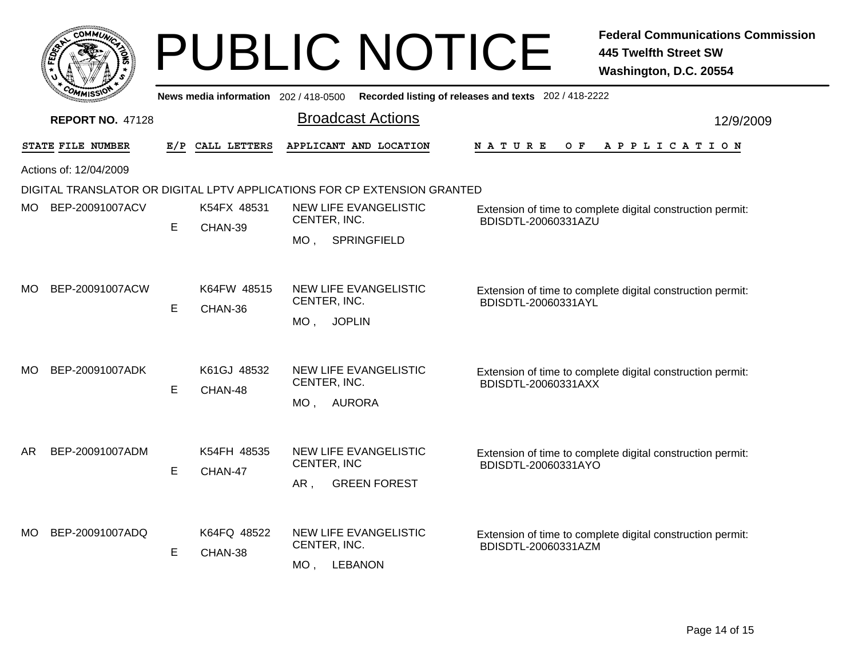|     | <b>COMMUN</b>           |     |                                       | <b>PUBLIC NOTICE</b>                                                      |                                                            | <b>Federal Communications Commission</b><br><b>445 Twelfth Street SW</b><br>Washington, D.C. 20554 |
|-----|-------------------------|-----|---------------------------------------|---------------------------------------------------------------------------|------------------------------------------------------------|----------------------------------------------------------------------------------------------------|
|     |                         |     | News media information $202/418-0500$ |                                                                           | Recorded listing of releases and texts 202 / 418-2222      |                                                                                                    |
|     | <b>REPORT NO. 47128</b> |     |                                       | <b>Broadcast Actions</b>                                                  |                                                            | 12/9/2009                                                                                          |
|     | STATE FILE NUMBER       | E/P | CALL LETTERS                          | APPLICANT AND LOCATION                                                    | <b>NATURE</b><br>O F                                       | APPLICATION                                                                                        |
|     | Actions of: 12/04/2009  |     |                                       |                                                                           |                                                            |                                                                                                    |
|     |                         |     |                                       | DIGITAL TRANSLATOR OR DIGITAL LPTV APPLICATIONS FOR CP EXTENSION GRANTED  |                                                            |                                                                                                    |
|     | MO BEP-20091007ACV      |     | K54FX 48531                           | NEW LIFE EVANGELISTIC<br>CENTER, INC.                                     | Extension of time to complete digital construction permit: |                                                                                                    |
|     |                         | E   | CHAN-39                               | SPRINGFIELD<br>MO.                                                        | BDISDTL-20060331AZU                                        |                                                                                                    |
| МO  | BEP-20091007ACW         | E   | K64FW 48515<br>CHAN-36                | <b>NEW LIFE EVANGELISTIC</b><br>CENTER, INC.<br>MO, JOPLIN                | BDISDTL-20060331AYL                                        | Extension of time to complete digital construction permit:                                         |
| MO. | BEP-20091007ADK         | E   | K61GJ 48532<br>CHAN-48                | <b>NEW LIFE EVANGELISTIC</b><br>CENTER, INC.<br>MO, AURORA                | BDISDTL-20060331AXX                                        | Extension of time to complete digital construction permit:                                         |
| AR  | BEP-20091007ADM         | E   | K54FH 48535<br>CHAN-47                | <b>NEW LIFE EVANGELISTIC</b><br>CENTER, INC<br>AR,<br><b>GREEN FOREST</b> | BDISDTL-20060331AYO                                        | Extension of time to complete digital construction permit:                                         |
| MO. | BEP-20091007ADQ         | E   | K64FQ 48522<br>CHAN-38                | NEW LIFE EVANGELISTIC<br>CENTER, INC.<br>$MO$ ,<br><b>LEBANON</b>         | BDISDTL-20060331AZM                                        | Extension of time to complete digital construction permit:                                         |